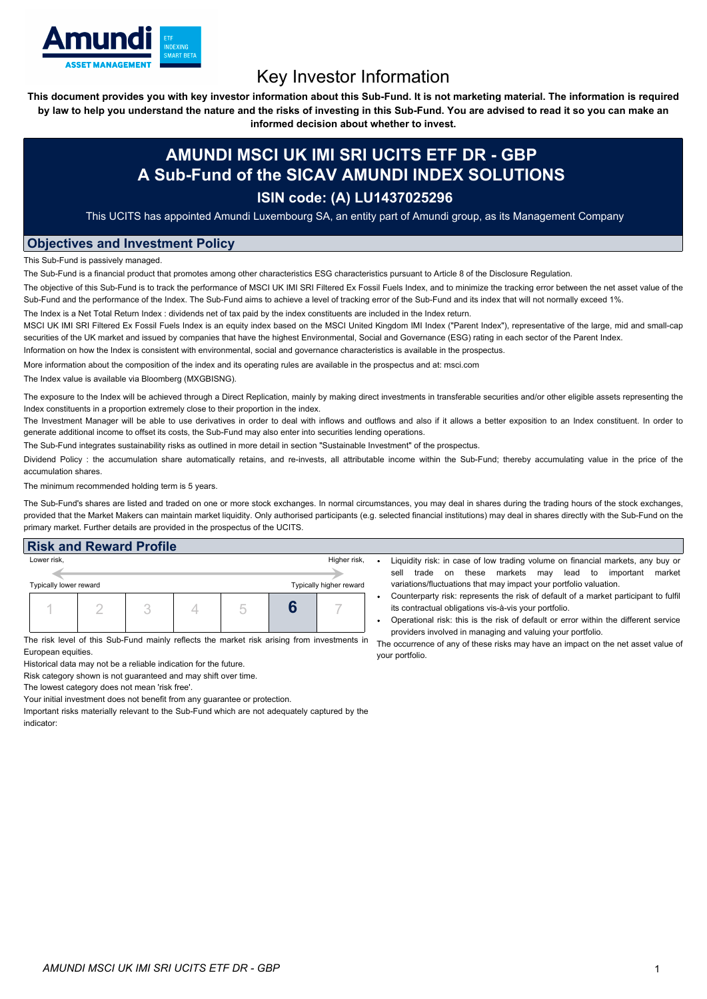

# Key Investor Information

This document provides you with key investor information about this Sub-Fund. It is not marketing material. The information is required by law to help you understand the nature and the risks of investing in this Sub-Fund. You are advised to read it so you can make an

**informed decision about whether to invest.**

## **AMUNDI MSCI UK IMI SRI UCITS ETF DR - GBP A Sub-Fund of the SICAV AMUNDI INDEX SOLUTIONS**

### **ISIN code: (A) LU1437025296**

This UCITS has appointed Amundi Luxembourg SA, an entity part of Amundi group, as its Management Company

#### **Objectives and Investment Policy**

This Sub-Fund is passively managed.

The Sub-Fund is a financial product that promotes among other characteristics ESG characteristics pursuant to Article 8 of the Disclosure Regulation.

The objective of this Sub-Fund is to track the performance of MSCI UK IMI SRI Filtered Ex Fossil Fuels Index, and to minimize the tracking error between the net asset value of the Sub-Fund and the performance of the Index. The Sub-Fund aims to achieve a level of tracking error of the Sub-Fund and its index that will not normally exceed 1%.

The Index is a Net Total Return Index : dividends net of tax paid by the index constituents are included in the Index return.

MSCI UK IMI SRI Filtered Ex Fossil Fuels Index is an equity index based on the MSCI United Kingdom IMI Index ("Parent Index"), representative of the large, mid and small-cap securities of the UK market and issued by companies that have the highest Environmental, Social and Governance (ESG) rating in each sector of the Parent Index.

Information on how the Index is consistent with environmental, social and governance characteristics is available in the prospectus.

More information about the composition of the index and its operating rules are available in the prospectus and at: msci.com

The Index value is available via Bloomberg (MXGBISNG).

The exposure to the Index will be achieved through a Direct Replication, mainly by making direct investments in transferable securities and/or other eligible assets representing the Index constituents in a proportion extremely close to their proportion in the index.

The Investment Manager will be able to use derivatives in order to deal with inflows and outflows and also if it allows a better exposition to an Index constituent. In order to generate additional income to offset its costs, the Sub-Fund may also enter into securities lending operations.

The Sub-Fund integrates sustainability risks as outlined in more detail in section "Sustainable Investment" of the prospectus.

Dividend Policy : the accumulation share automatically retains, and re-invests, all attributable income within the Sub-Fund; thereby accumulating value in the price of the accumulation shares.

The minimum recommended holding term is 5 years.

The Sub-Fund's shares are listed and traded on one or more stock exchanges. In normal circumstances, you may deal in shares during the trading hours of the stock exchanges, provided that the Market Makers can maintain market liquidity. Only authorised participants (e.g. selected financial institutions) may deal in shares directly with the Sub-Fund on the primary market. Further details are provided in the prospectus of the UCITS.

#### **Risk and Reward Profile**

| Lower risk,                                       |  | Higher risk, |  |        |  |  |
|---------------------------------------------------|--|--------------|--|--------|--|--|
|                                                   |  |              |  |        |  |  |
| Typically lower reward<br>Typically higher reward |  |              |  |        |  |  |
|                                                   |  |              |  | $\sim$ |  |  |

The risk level of this Sub-Fund mainly reflects the market risk arising from investments in European equities.

Historical data may not be a reliable indication for the future.

Risk category shown is not guaranteed and may shift over time.

The lowest category does not mean 'risk free'.

Your initial investment does not benefit from any guarantee or protection.

Important risks materially relevant to the Sub-Fund which are not adequately captured by the indicator:

- Liquidity risk: in case of low trading volume on financial markets, any buy or sell trade on these markets may lead to important market variations/fluctuations that may impact your portfolio valuation.
- Counterparty risk: represents the risk of default of a market participant to fulfil its contractual obligations vis-à-vis your portfolio.
- Operational risk: this is the risk of default or error within the different service providers involved in managing and valuing your portfolio.

The occurrence of any of these risks may have an impact on the net asset value of your portfolio.